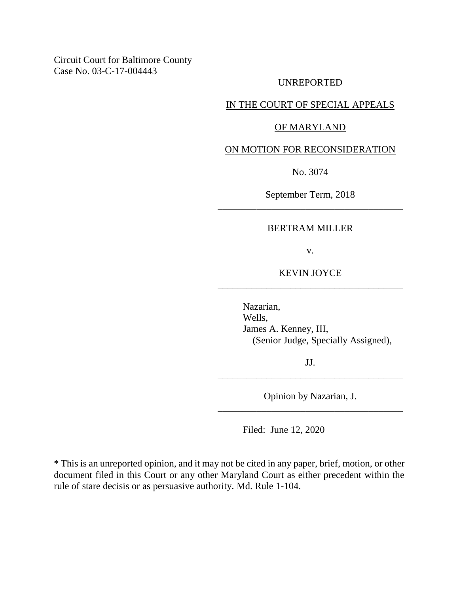Circuit Court for Baltimore County Case No. 03-C-17-004443

#### UNREPORTED

## IN THE COURT OF SPECIAL APPEALS

#### OF MARYLAND

#### ON MOTION FOR RECONSIDERATION

No. 3074

September Term, 2018 \_\_\_\_\_\_\_\_\_\_\_\_\_\_\_\_\_\_\_\_\_\_\_\_\_\_\_\_\_\_\_\_\_\_\_\_\_\_

#### BERTRAM MILLER

v.

#### KEVIN JOYCE \_\_\_\_\_\_\_\_\_\_\_\_\_\_\_\_\_\_\_\_\_\_\_\_\_\_\_\_\_\_\_\_\_\_\_\_\_\_

Nazarian, Wells, James A. Kenney, III, (Senior Judge, Specially Assigned),

JJ. \_\_\_\_\_\_\_\_\_\_\_\_\_\_\_\_\_\_\_\_\_\_\_\_\_\_\_\_\_\_\_\_\_\_\_\_\_\_

Opinion by Nazarian, J. \_\_\_\_\_\_\_\_\_\_\_\_\_\_\_\_\_\_\_\_\_\_\_\_\_\_\_\_\_\_\_\_\_\_\_\_\_\_

Filed: June 12, 2020

\* This is an unreported opinion, and it may not be cited in any paper, brief, motion, or other document filed in this Court or any other Maryland Court as either precedent within the rule of stare decisis or as persuasive authority. Md. Rule 1-104.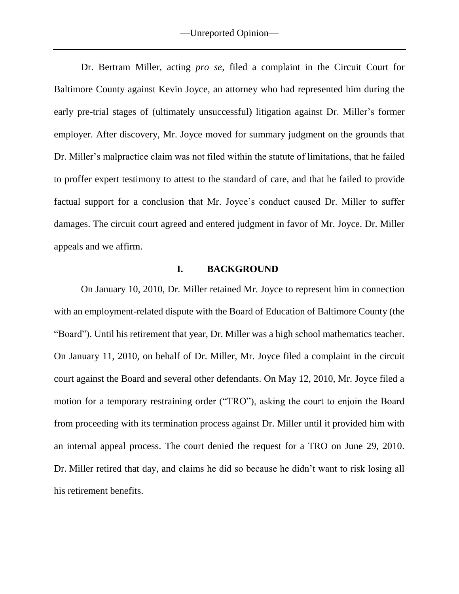Dr. Bertram Miller, acting *pro se*, filed a complaint in the Circuit Court for Baltimore County against Kevin Joyce, an attorney who had represented him during the early pre-trial stages of (ultimately unsuccessful) litigation against Dr. Miller's former employer. After discovery, Mr. Joyce moved for summary judgment on the grounds that Dr. Miller's malpractice claim was not filed within the statute of limitations, that he failed to proffer expert testimony to attest to the standard of care, and that he failed to provide factual support for a conclusion that Mr. Joyce's conduct caused Dr. Miller to suffer damages. The circuit court agreed and entered judgment in favor of Mr. Joyce. Dr. Miller appeals and we affirm.

### **I. BACKGROUND**

On January 10, 2010, Dr. Miller retained Mr. Joyce to represent him in connection with an employment-related dispute with the Board of Education of Baltimore County (the "Board"). Until his retirement that year, Dr. Miller was a high school mathematics teacher. On January 11, 2010, on behalf of Dr. Miller, Mr. Joyce filed a complaint in the circuit court against the Board and several other defendants. On May 12, 2010, Mr. Joyce filed a motion for a temporary restraining order ("TRO"), asking the court to enjoin the Board from proceeding with its termination process against Dr. Miller until it provided him with an internal appeal process. The court denied the request for a TRO on June 29, 2010. Dr. Miller retired that day, and claims he did so because he didn't want to risk losing all his retirement benefits.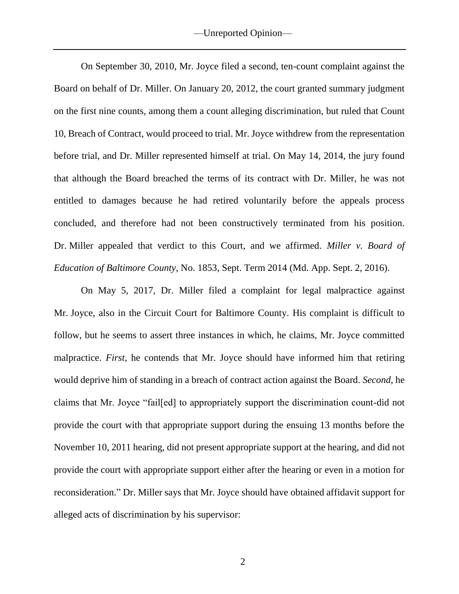—Unreported Opinion—

On September 30, 2010, Mr. Joyce filed a second, ten-count complaint against the Board on behalf of Dr. Miller. On January 20, 2012, the court granted summary judgment on the first nine counts, among them a count alleging discrimination, but ruled that Count 10, Breach of Contract, would proceed to trial. Mr. Joyce withdrew from the representation before trial, and Dr. Miller represented himself at trial. On May 14, 2014, the jury found that although the Board breached the terms of its contract with Dr. Miller, he was not entitled to damages because he had retired voluntarily before the appeals process concluded, and therefore had not been constructively terminated from his position. Dr. Miller appealed that verdict to this Court, and we affirmed. *Miller v. Board of Education of Baltimore County*, No. 1853, Sept. Term 2014 (Md. App. Sept. 2, 2016).

On May 5, 2017, Dr. Miller filed a complaint for legal malpractice against Mr. Joyce, also in the Circuit Court for Baltimore County. His complaint is difficult to follow, but he seems to assert three instances in which, he claims, Mr. Joyce committed malpractice. *First*, he contends that Mr. Joyce should have informed him that retiring would deprive him of standing in a breach of contract action against the Board. *Second*, he claims that Mr. Joyce "fail[ed] to appropriately support the discrimination count-did not provide the court with that appropriate support during the ensuing 13 months before the November 10, 2011 hearing, did not present appropriate support at the hearing, and did not provide the court with appropriate support either after the hearing or even in a motion for reconsideration." Dr. Miller says that Mr. Joyce should have obtained affidavit support for alleged acts of discrimination by his supervisor: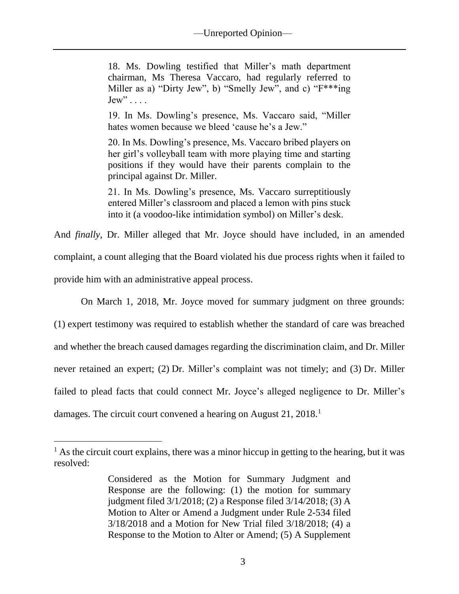18. Ms. Dowling testified that Miller's math department chairman, Ms Theresa Vaccaro, had regularly referred to Miller as a) "Dirty Jew", b) "Smelly Jew", and c) "F\*\*\*ing  $Jew$ " . . . .

19. In Ms. Dowling's presence, Ms. Vaccaro said, "Miller hates women because we bleed 'cause he's a Jew."

20. In Ms. Dowling's presence, Ms. Vaccaro bribed players on her girl's volleyball team with more playing time and starting positions if they would have their parents complain to the principal against Dr. Miller.

21. In Ms. Dowling's presence, Ms. Vaccaro surreptitiously entered Miller's classroom and placed a lemon with pins stuck into it (a voodoo-like intimidation symbol) on Miller's desk.

And *finally*, Dr. Miller alleged that Mr. Joyce should have included, in an amended complaint, a count alleging that the Board violated his due process rights when it failed to provide him with an administrative appeal process.

On March 1, 2018, Mr. Joyce moved for summary judgment on three grounds:

(1) expert testimony was required to establish whether the standard of care was breached and whether the breach caused damages regarding the discrimination claim, and Dr. Miller never retained an expert; (2) Dr. Miller's complaint was not timely; and (3) Dr. Miller failed to plead facts that could connect Mr. Joyce's alleged negligence to Dr. Miller's damages. The circuit court convened a hearing on August 21, 2018.<sup>1</sup>

 $\overline{a}$ 

 $<sup>1</sup>$  As the circuit court explains, there was a minor hiccup in getting to the hearing, but it was</sup> resolved:

Considered as the Motion for Summary Judgment and Response are the following: (1) the motion for summary judgment filed 3/1/2018; (2) a Response filed 3/14/2018; (3) A Motion to Alter or Amend a Judgment under Rule 2-534 filed 3/18/2018 and a Motion for New Trial filed 3/18/2018; (4) a Response to the Motion to Alter or Amend; (5) A Supplement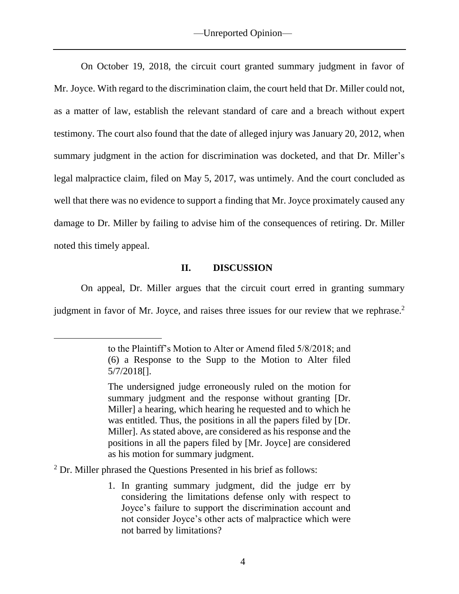On October 19, 2018, the circuit court granted summary judgment in favor of Mr. Joyce. With regard to the discrimination claim, the court held that Dr. Miller could not, as a matter of law, establish the relevant standard of care and a breach without expert testimony. The court also found that the date of alleged injury was January 20, 2012, when summary judgment in the action for discrimination was docketed, and that Dr. Miller's legal malpractice claim, filed on May 5, 2017, was untimely. And the court concluded as well that there was no evidence to support a finding that Mr. Joyce proximately caused any damage to Dr. Miller by failing to advise him of the consequences of retiring. Dr. Miller noted this timely appeal.

#### **II. DISCUSSION**

On appeal, Dr. Miller argues that the circuit court erred in granting summary

judgment in favor of Mr. Joyce, and raises three issues for our review that we rephrase.<sup>2</sup>

<sup>2</sup> Dr. Miller phrased the Questions Presented in his brief as follows:

 $\overline{a}$ 

1. In granting summary judgment, did the judge err by considering the limitations defense only with respect to Joyce's failure to support the discrimination account and not consider Joyce's other acts of malpractice which were not barred by limitations?

to the Plaintiff's Motion to Alter or Amend filed 5/8/2018; and (6) a Response to the Supp to the Motion to Alter filed 5/7/2018[].

The undersigned judge erroneously ruled on the motion for summary judgment and the response without granting [Dr. Miller] a hearing, which hearing he requested and to which he was entitled. Thus, the positions in all the papers filed by [Dr. Miller]. As stated above, are considered as his response and the positions in all the papers filed by [Mr. Joyce] are considered as his motion for summary judgment.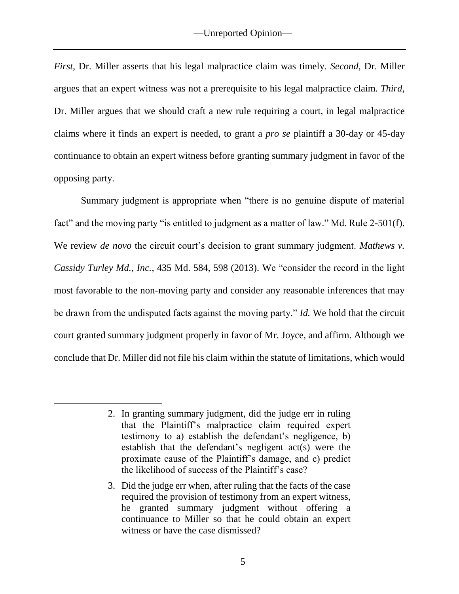*First*, Dr. Miller asserts that his legal malpractice claim was timely. *Second*, Dr. Miller argues that an expert witness was not a prerequisite to his legal malpractice claim. *Third*, Dr. Miller argues that we should craft a new rule requiring a court, in legal malpractice claims where it finds an expert is needed, to grant a *pro se* plaintiff a 30-day or 45-day continuance to obtain an expert witness before granting summary judgment in favor of the opposing party.

Summary judgment is appropriate when "there is no genuine dispute of material fact" and the moving party "is entitled to judgment as a matter of law." Md. Rule 2-501(f). We review *de novo* the circuit court's decision to grant summary judgment. *Mathews v. Cassidy Turley Md., Inc.*, 435 Md. 584, 598 (2013). We "consider the record in the light most favorable to the non-moving party and consider any reasonable inferences that may be drawn from the undisputed facts against the moving party." *Id.* We hold that the circuit court granted summary judgment properly in favor of Mr. Joyce, and affirm. Although we conclude that Dr. Miller did not file his claim within the statute of limitations, which would

<sup>2.</sup> In granting summary judgment, did the judge err in ruling that the Plaintiff's malpractice claim required expert testimony to a) establish the defendant's negligence, b) establish that the defendant's negligent act(s) were the proximate cause of the Plaintiff's damage, and c) predict the likelihood of success of the Plaintiff's case?

<sup>3.</sup> Did the judge err when, after ruling that the facts of the case required the provision of testimony from an expert witness, he granted summary judgment without offering a continuance to Miller so that he could obtain an expert witness or have the case dismissed?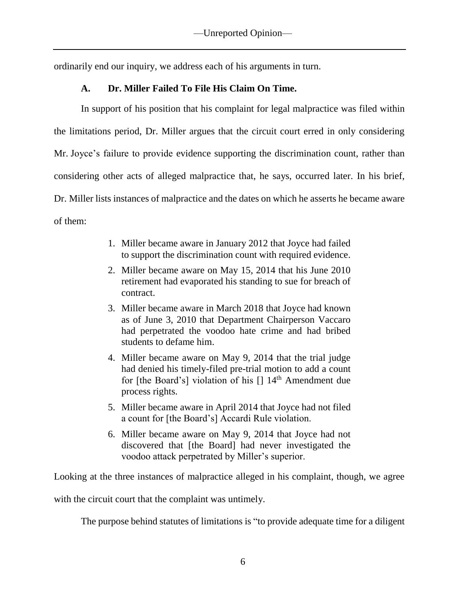ordinarily end our inquiry, we address each of his arguments in turn.

# **A. Dr. Miller Failed To File His Claim On Time.**

In support of his position that his complaint for legal malpractice was filed within the limitations period, Dr. Miller argues that the circuit court erred in only considering Mr. Joyce's failure to provide evidence supporting the discrimination count, rather than considering other acts of alleged malpractice that, he says, occurred later. In his brief, Dr. Miller lists instances of malpractice and the dates on which he asserts he became aware of them:

- 1. Miller became aware in January 2012 that Joyce had failed to support the discrimination count with required evidence.
- 2. Miller became aware on May 15, 2014 that his June 2010 retirement had evaporated his standing to sue for breach of contract.
- 3. Miller became aware in March 2018 that Joyce had known as of June 3, 2010 that Department Chairperson Vaccaro had perpetrated the voodoo hate crime and had bribed students to defame him.
- 4. Miller became aware on May 9, 2014 that the trial judge had denied his timely-filed pre-trial motion to add a count for [the Board's] violation of his  $[$ ]  $14<sup>th</sup>$  Amendment due process rights.
- 5. Miller became aware in April 2014 that Joyce had not filed a count for [the Board's] Accardi Rule violation.
- 6. Miller became aware on May 9, 2014 that Joyce had not discovered that [the Board] had never investigated the voodoo attack perpetrated by Miller's superior.

Looking at the three instances of malpractice alleged in his complaint, though, we agree

with the circuit court that the complaint was untimely.

The purpose behind statutes of limitations is "to provide adequate time for a diligent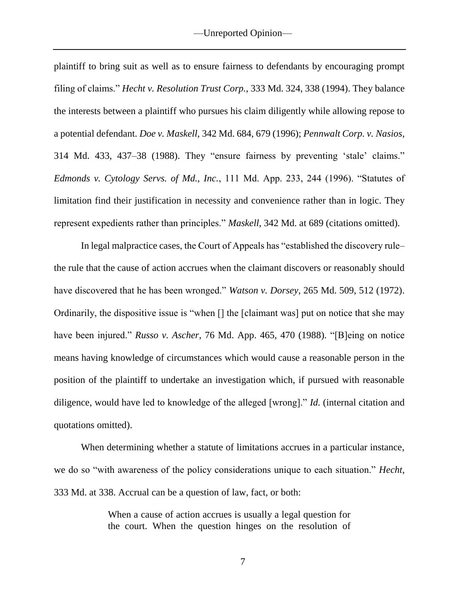plaintiff to bring suit as well as to ensure fairness to defendants by encouraging prompt filing of claims." *Hecht v. Resolution Trust Corp.*, 333 Md. 324, 338 (1994). They balance the interests between a plaintiff who pursues his claim diligently while allowing repose to a potential defendant. *Doe v. Maskell*, 342 Md. 684, 679 (1996); *Pennwalt Corp. v. Nasios*, 314 Md. 433, 437–38 (1988). They "ensure fairness by preventing 'stale' claims." *Edmonds v. Cytology Servs. of Md., Inc.*, 111 Md. App. 233, 244 (1996). "Statutes of limitation find their justification in necessity and convenience rather than in logic. They represent expedients rather than principles." *Maskell*, 342 Md. at 689 (citations omitted).

In legal malpractice cases, the Court of Appeals has "established the discovery rule– the rule that the cause of action accrues when the claimant discovers or reasonably should have discovered that he has been wronged." *Watson v. Dorsey*, 265 Md. 509, 512 (1972). Ordinarily, the dispositive issue is "when [] the [claimant was] put on notice that she may have been injured." *Russo v. Ascher*, 76 Md. App. 465, 470 (1988). "[B]eing on notice means having knowledge of circumstances which would cause a reasonable person in the position of the plaintiff to undertake an investigation which, if pursued with reasonable diligence, would have led to knowledge of the alleged [wrong]." *Id.* (internal citation and quotations omitted).

When determining whether a statute of limitations accrues in a particular instance, we do so "with awareness of the policy considerations unique to each situation." *Hecht*, 333 Md. at 338. Accrual can be a question of law, fact, or both:

> When a cause of action accrues is usually a legal question for the court. When the question hinges on the resolution of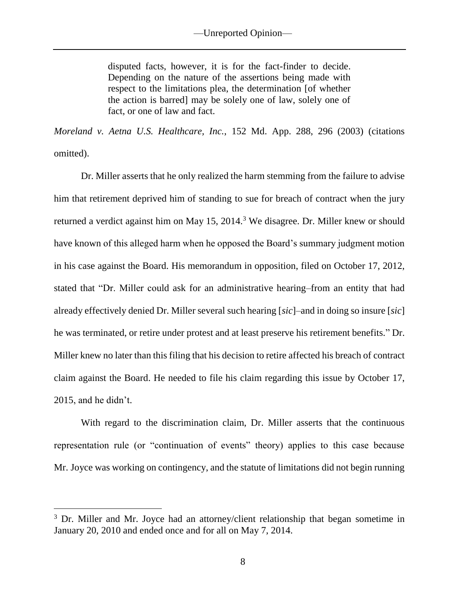disputed facts, however, it is for the fact-finder to decide. Depending on the nature of the assertions being made with respect to the limitations plea, the determination [of whether the action is barred] may be solely one of law, solely one of fact, or one of law and fact.

*Moreland v. Aetna U.S. Healthcare, Inc.*, 152 Md. App. 288, 296 (2003) (citations omitted).

Dr. Miller asserts that he only realized the harm stemming from the failure to advise him that retirement deprived him of standing to sue for breach of contract when the jury returned a verdict against him on May 15, 2014.<sup>3</sup> We disagree. Dr. Miller knew or should have known of this alleged harm when he opposed the Board's summary judgment motion in his case against the Board. His memorandum in opposition, filed on October 17, 2012, stated that "Dr. Miller could ask for an administrative hearing–from an entity that had already effectively denied Dr. Miller several such hearing [*sic*]–and in doing so insure [*sic*] he was terminated, or retire under protest and at least preserve his retirement benefits." Dr. Miller knew no later than this filing that his decision to retire affected his breach of contract claim against the Board. He needed to file his claim regarding this issue by October 17, 2015, and he didn't.

With regard to the discrimination claim, Dr. Miller asserts that the continuous representation rule (or "continuation of events" theory) applies to this case because Mr. Joyce was working on contingency, and the statute of limitations did not begin running

 $\overline{a}$ 

<sup>&</sup>lt;sup>3</sup> Dr. Miller and Mr. Joyce had an attorney/client relationship that began sometime in January 20, 2010 and ended once and for all on May 7, 2014.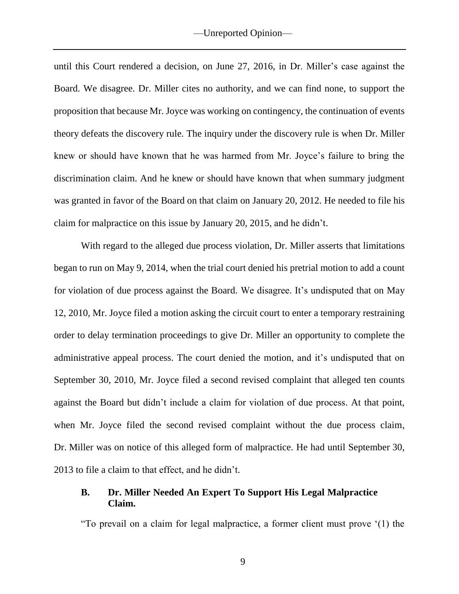until this Court rendered a decision, on June 27, 2016, in Dr. Miller's case against the Board. We disagree. Dr. Miller cites no authority, and we can find none, to support the proposition that because Mr. Joyce was working on contingency, the continuation of events theory defeats the discovery rule. The inquiry under the discovery rule is when Dr. Miller knew or should have known that he was harmed from Mr. Joyce's failure to bring the discrimination claim. And he knew or should have known that when summary judgment was granted in favor of the Board on that claim on January 20, 2012. He needed to file his claim for malpractice on this issue by January 20, 2015, and he didn't.

With regard to the alleged due process violation, Dr. Miller asserts that limitations began to run on May 9, 2014, when the trial court denied his pretrial motion to add a count for violation of due process against the Board. We disagree. It's undisputed that on May 12, 2010, Mr. Joyce filed a motion asking the circuit court to enter a temporary restraining order to delay termination proceedings to give Dr. Miller an opportunity to complete the administrative appeal process. The court denied the motion, and it's undisputed that on September 30, 2010, Mr. Joyce filed a second revised complaint that alleged ten counts against the Board but didn't include a claim for violation of due process. At that point, when Mr. Joyce filed the second revised complaint without the due process claim, Dr. Miller was on notice of this alleged form of malpractice. He had until September 30, 2013 to file a claim to that effect, and he didn't.

### **B. Dr. Miller Needed An Expert To Support His Legal Malpractice Claim.**

"To prevail on a claim for legal malpractice, a former client must prove '(1) the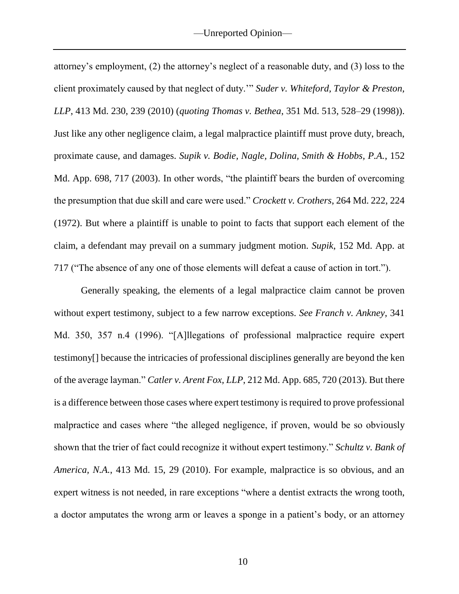attorney's employment, (2) the attorney's neglect of a reasonable duty, and (3) loss to the client proximately caused by that neglect of duty.'" *Suder v. Whiteford, Taylor & Preston, LLP*, 413 Md. 230, 239 (2010) (*quoting Thomas v. Bethea*, 351 Md. 513, 528–29 (1998)). Just like any other negligence claim, a legal malpractice plaintiff must prove duty, breach, proximate cause, and damages. *Supik v. Bodie, Nagle, Dolina, Smith & Hobbs, P.A.*, 152 Md. App. 698, 717 (2003). In other words, "the plaintiff bears the burden of overcoming the presumption that due skill and care were used." *Crockett v. Crothers*, 264 Md. 222, 224 (1972). But where a plaintiff is unable to point to facts that support each element of the claim, a defendant may prevail on a summary judgment motion. *Supik*, 152 Md. App. at 717 ("The absence of any one of those elements will defeat a cause of action in tort.").

Generally speaking, the elements of a legal malpractice claim cannot be proven without expert testimony, subject to a few narrow exceptions. *See Franch v. Ankney*, 341 Md. 350, 357 n.4 (1996). "[A]llegations of professional malpractice require expert testimony[] because the intricacies of professional disciplines generally are beyond the ken of the average layman." *Catler v. Arent Fox, LLP*, 212 Md. App. 685, 720 (2013). But there is a difference between those cases where expert testimony is required to prove professional malpractice and cases where "the alleged negligence, if proven, would be so obviously shown that the trier of fact could recognize it without expert testimony." *Schultz v. Bank of America, N.A.*, 413 Md. 15, 29 (2010). For example, malpractice is so obvious, and an expert witness is not needed, in rare exceptions "where a dentist extracts the wrong tooth, a doctor amputates the wrong arm or leaves a sponge in a patient's body, or an attorney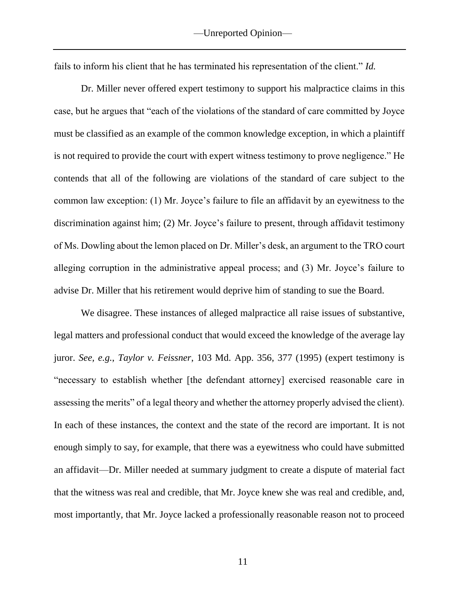fails to inform his client that he has terminated his representation of the client." *Id.*

Dr. Miller never offered expert testimony to support his malpractice claims in this case, but he argues that "each of the violations of the standard of care committed by Joyce must be classified as an example of the common knowledge exception, in which a plaintiff is not required to provide the court with expert witness testimony to prove negligence." He contends that all of the following are violations of the standard of care subject to the common law exception: (1) Mr. Joyce's failure to file an affidavit by an eyewitness to the discrimination against him; (2) Mr. Joyce's failure to present, through affidavit testimony of Ms. Dowling about the lemon placed on Dr. Miller's desk, an argument to the TRO court alleging corruption in the administrative appeal process; and (3) Mr. Joyce's failure to advise Dr. Miller that his retirement would deprive him of standing to sue the Board.

We disagree. These instances of alleged malpractice all raise issues of substantive, legal matters and professional conduct that would exceed the knowledge of the average lay juror. *See, e.g.*, *Taylor v. Feissner*, 103 Md. App. 356, 377 (1995) (expert testimony is "necessary to establish whether [the defendant attorney] exercised reasonable care in assessing the merits" of a legal theory and whether the attorney properly advised the client). In each of these instances, the context and the state of the record are important. It is not enough simply to say, for example, that there was a eyewitness who could have submitted an affidavit—Dr. Miller needed at summary judgment to create a dispute of material fact that the witness was real and credible, that Mr. Joyce knew she was real and credible, and, most importantly, that Mr. Joyce lacked a professionally reasonable reason not to proceed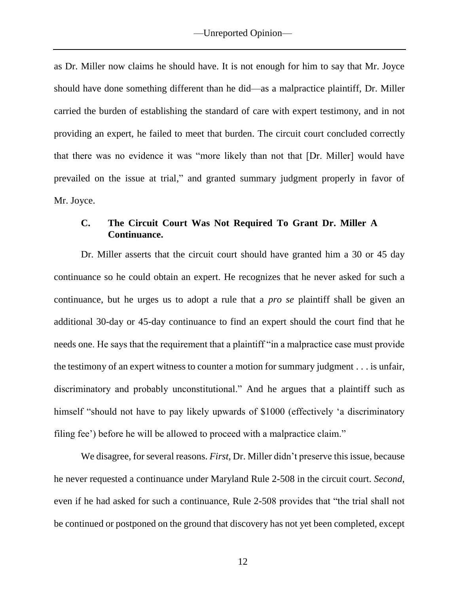as Dr. Miller now claims he should have. It is not enough for him to say that Mr. Joyce should have done something different than he did—as a malpractice plaintiff, Dr. Miller carried the burden of establishing the standard of care with expert testimony, and in not providing an expert, he failed to meet that burden. The circuit court concluded correctly that there was no evidence it was "more likely than not that [Dr. Miller] would have prevailed on the issue at trial," and granted summary judgment properly in favor of Mr. Joyce.

### **C. The Circuit Court Was Not Required To Grant Dr. Miller A Continuance.**

Dr. Miller asserts that the circuit court should have granted him a 30 or 45 day continuance so he could obtain an expert. He recognizes that he never asked for such a continuance, but he urges us to adopt a rule that a *pro se* plaintiff shall be given an additional 30-day or 45-day continuance to find an expert should the court find that he needs one. He says that the requirement that a plaintiff "in a malpractice case must provide the testimony of an expert witness to counter a motion for summary judgment . . . is unfair, discriminatory and probably unconstitutional." And he argues that a plaintiff such as himself "should not have to pay likely upwards of \$1000 (effectively 'a discriminatory filing fee') before he will be allowed to proceed with a malpractice claim."

We disagree, for several reasons. *First*, Dr. Miller didn't preserve this issue, because he never requested a continuance under Maryland Rule 2-508 in the circuit court. *Second*, even if he had asked for such a continuance, Rule 2-508 provides that "the trial shall not be continued or postponed on the ground that discovery has not yet been completed, except